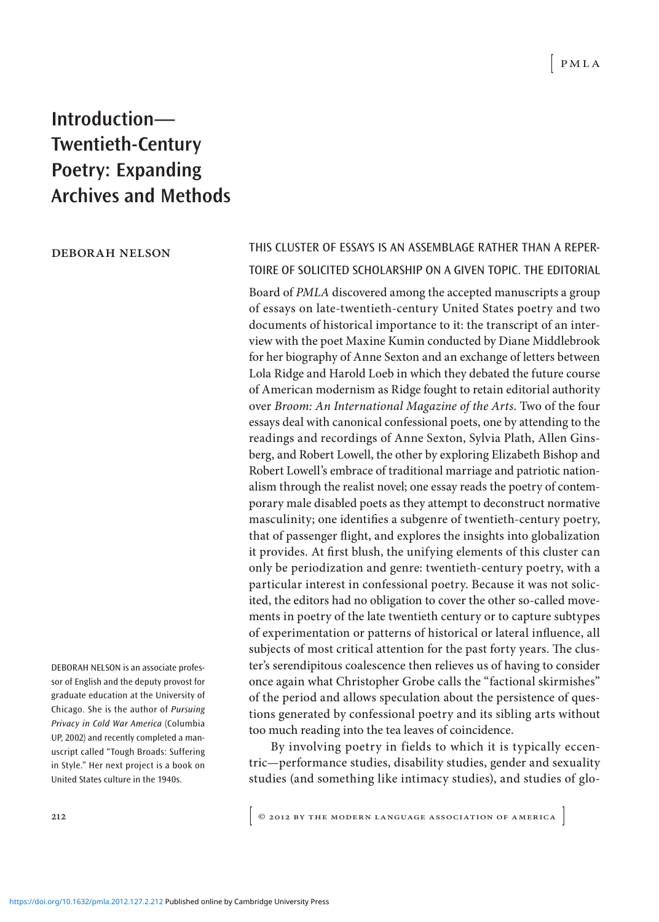## **Introduction— Twentieth-Century Poetry: Expanding Archives and Methods**

## deborah nelson

DEBORAH NELSON is an associate professor of English and the deputy provost for graduate education at the University of Chicago. She is the author of Pursuing Privacy in Cold War America (Columbia UP, 2002) and recently completed a manuscript called "Tough Broads: Suffering in Style." Her next project is a book on United States culture in the 1940s.

masculinity; one identifies a subgenre of twentieth-century poetry,

THIS CLUSTER OF ESSAYS IS AN ASSEMBLAGE RATHER THAN A REPER-TOIRE OF SOLICITED SCHOLARSHIP ON A GIVEN TOPIC. THE EDITORIAL Board of PMLA discovered among the accepted manuscripts a group of essays on late-twentieth-century United States poetry and two documents of historical importance to it: the transcript of an interview with the poet Maxine Kumin conducted by Diane Middlebrook for her biography of Anne Sexton and an exchange of letters between Lola Ridge and Harold Loeb in which they debated the future course of American modernism as Ridge fought to retain editorial authority over Broom: An International Magazine of the Arts. Two of the four essays deal with canonical confessional poets, one by attending to the readings and recordings of Anne Sexton, Sylvia Plath, Allen Ginsberg, and Robert Lowell, the other by exploring Elizabeth Bishop and Robert Lowell's embrace of traditional marriage and patriotic nationalism through the realist novel; one essay reads the poetry of contemporary male disabled poets as they attempt to deconstruct normative

that of passenger light, and explores the insights into globalization it provides. At first blush, the unifying elements of this cluster can only be periodization and genre: twentieth- century poetry, with a particular interest in confessional poetry. Because it was not solicited, the editors had no obligation to cover the other so- called movements in poetry of the late twentieth century or to capture subtypes of experimentation or patterns of historical or lateral inluence, all subjects of most critical attention for the past forty years. The cluster's serendipitous coalescence then relieves us of having to consider once again what Christopher Grobe calls the "factional skirmishes" of the period and allows speculation about the persistence of questions generated by confessional poetry and its sibling arts without too much reading into the tea leaves of coincidence.

By involving poetry in fields to which it is typically eccentric—performance studies, disability studies, gender and sexuality studies (and something like intimacy studies), and studies of glo-

212 **COLLEMAN CONTRACTED ASSOCIATION OF AMERICA**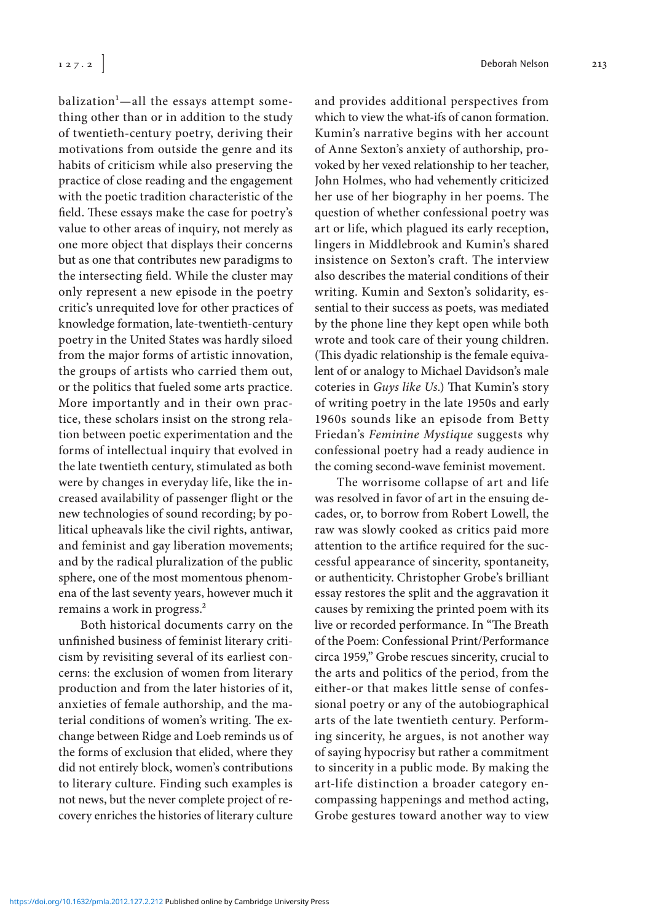balization<sup>1</sup>—all the essays attempt something other than or in addition to the study of twentieth- century poetry, deriving their motivations from outside the genre and its habits of criticism while also preserving the practice of close reading and the engagement with the poetic tradition characteristic of the field. These essays make the case for poetry's value to other areas of inquiry, not merely as one more object that displays their concerns but as one that contributes new paradigms to the intersecting field. While the cluster may only represent a new episode in the poetry critic's unrequited love for other practices of knowledge formation, late-twentieth-century poetry in the United States was hardly siloed from the major forms of artistic innovation, the groups of artists who carried them out, or the politics that fueled some arts practice. More importantly and in their own practice, these scholars insist on the strong relation between poetic experimentation and the forms of intellectual inquiry that evolved in the late twentieth century, stimulated as both were by changes in everyday life, like the increased availability of passenger light or the new technologies of sound recording; by political upheavals like the civil rights, antiwar, and feminist and gay liberation movements; and by the radical pluralization of the public sphere, one of the most momentous phenomena of the last seventy years, however much it remains a work in progress.<sup>2</sup>

Both historical documents carry on the unfinished business of feminist literary criticism by revisiting several of its earliest concerns: the exclusion of women from literary production and from the later histories of it, anxieties of female authorship, and the material conditions of women's writing. The exchange between Ridge and Loeb reminds us of the forms of exclusion that elided, where they did not entirely block, women's contributions to literary culture. Finding such examples is not news, but the never complete project of recovery enriches the histories of literary culture

127.2 **Deborah Nelson 213** 

and provides additional perspectives from which to view the what-ifs of canon formation. Kumin's narrative begins with her account of Anne Sexton's anxiety of authorship, provoked by her vexed relationship to her teacher, John Holmes, who had vehemently criticized her use of her biography in her poems. The question of whether confessional poetry was art or life, which plagued its early reception, lingers in Middlebrook and Kumin's shared insistence on Sexton's craft. The interview also describes the material conditions of their writing. Kumin and Sexton's solidarity, essential to their success as poets, was mediated by the phone line they kept open while both wrote and took care of their young children. (This dyadic relationship is the female equivalent of or analogy to Michael Davidson's male coteries in Guys like Us.) That Kumin's story of writing poetry in the late 1950s and early 1960s sounds like an episode from Betty Friedan's Feminine Mystique suggests why confessional poetry had a ready audience in the coming second-wave feminist movement.

The worrisome collapse of art and life was resolved in favor of art in the ensuing decades, or, to borrow from Robert Lowell, the raw was slowly cooked as critics paid more attention to the artifice required for the successful appearance of sincerity, spontaneity, or authenticity. Christopher Grobe's brilliant essay restores the split and the aggravation it causes by remixing the printed poem with its live or recorded performance. In "The Breath of the Poem: Confessional Print/ Performance circa 1959," Grobe rescues sincerity, crucial to the arts and politics of the period, from the either- or that makes little sense of confessional poetry or any of the autobiographical arts of the late twentieth century. Performing sincerity, he argues, is not another way of saying hypocrisy but rather a commitment to sincerity in a public mode. By making the art-life distinction a broader category encompassing happenings and method acting, Grobe gestures toward another way to view